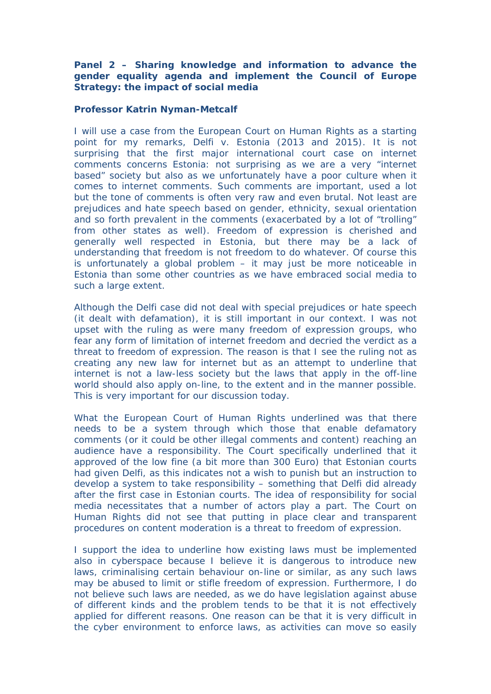**Panel 2 – Sharing knowledge and information to advance the gender equality agenda and implement the Council of Europe Strategy: the impact of social media**

**Professor Katrin Nyman-Metcalf**

I will use a case from the European Court on Human Rights as a starting point for my remarks, Delfi v. Estonia (2013 and 2015). It is not surprising that the first major international court case on internet comments concerns Estonia: not surprising as we are a very "internet based" society but also as we unfortunately have a poor culture when it comes to internet comments. Such comments are important, used a lot but the tone of comments is often very raw and even brutal. Not least are prejudices and hate speech based on gender, ethnicity, sexual orientation and so forth prevalent in the comments (exacerbated by a lot of "trolling" from other states as well). Freedom of expression is cherished and generally well respected in Estonia, but there may be a lack of understanding that freedom is not freedom to do whatever. Of course this is unfortunately a global problem – it may just be more noticeable in Estonia than some other countries as we have embraced social media to such a large extent.

Although the Delfi case did not deal with special prejudices or hate speech (it dealt with defamation), it is still important in our context. I was not upset with the ruling as were many freedom of expression groups, who fear any form of limitation of internet freedom and decried the verdict as a threat to freedom of expression. The reason is that I see the ruling not as creating any new law for internet but as an attempt to underline that internet is not a law-less society but the laws that apply in the off-line world should also apply on-line, to the extent and in the manner possible. This is very important for our discussion today.

What the European Court of Human Rights underlined was that there needs to be a system through which those that enable defamatory comments (or it could be other illegal comments and content) reaching an audience have a responsibility. The Court specifically underlined that it approved of the low fine (a bit more than 300 Euro) that Estonian courts had given Delfi, as this indicates not a wish to punish but an instruction to develop a system to take responsibility – something that Delfi did already after the first case in Estonian courts. The idea of responsibility for social media necessitates that a number of actors play a part. The Court on Human Rights did not see that putting in place clear and transparent procedures on content moderation is a threat to freedom of expression.

I support the idea to underline how existing laws must be implemented also in cyberspace because I believe it is dangerous to introduce new laws, criminalising certain behaviour on-line or similar, as any such laws may be abused to limit or stifle freedom of expression. Furthermore, I do not believe such laws are needed, as we do have legislation against abuse of different kinds and the problem tends to be that it is not effectively applied for different reasons. One reason can be that it is very difficult in the cyber environment to enforce laws, as activities can move so easily